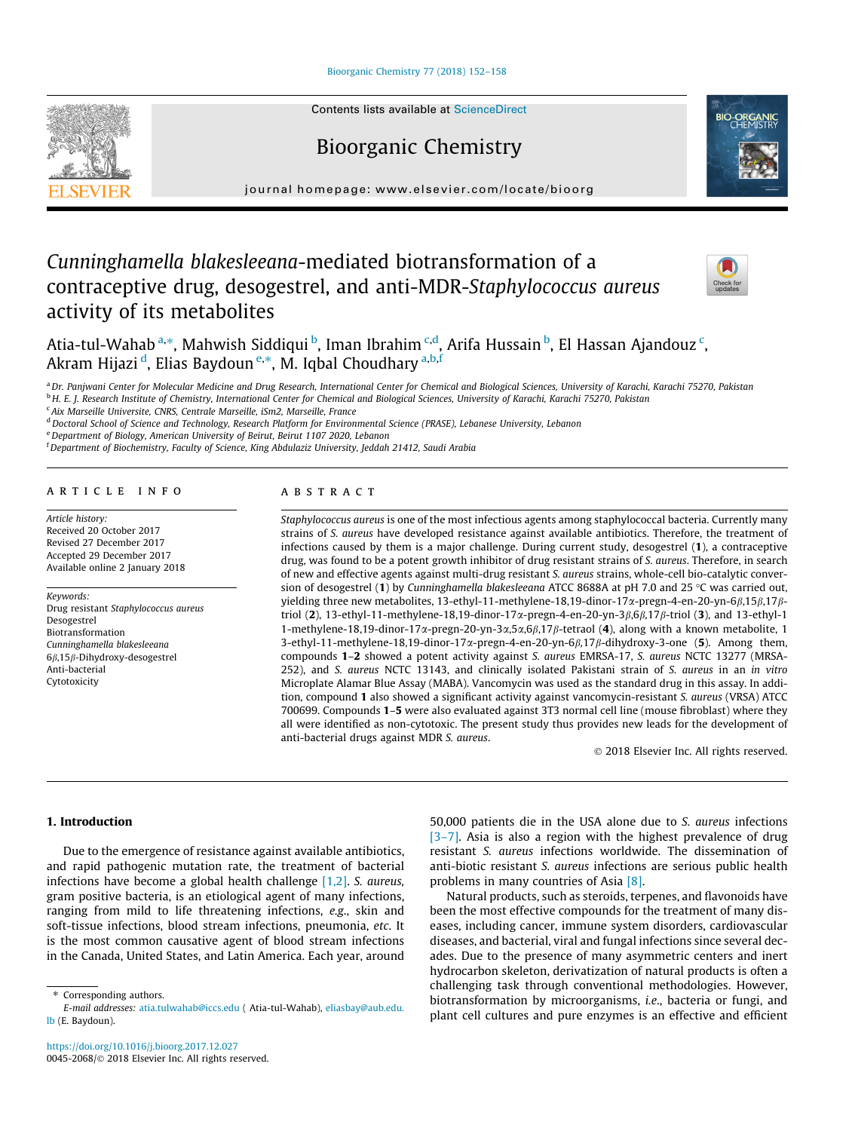### [Bioorganic Chemistry 77 \(2018\) 152–158](https://doi.org/10.1016/j.bioorg.2017.12.027)

# Bioorganic Chemistry

journal homepage: [www.elsevier.com/locate/bioorg](http://www.elsevier.com/locate/bioorg)

# Cunninghamella blakesleeana-mediated biotransformation of a contraceptive drug, desogestrel, and anti-MDR-Staphylococcus aureus activity of its metabolites



Atia-tul-Wahab <sup>a,</sup>\*, Mahwish Siddiqui <sup>b</sup>, Iman Ibrahim <sup>c,d</sup>, Arifa Hussain <sup>b</sup>, El Hassan Ajandouz <sup>c</sup>, Akram Hijazi <sup>d</sup>, Elias Baydoun <sup>e,</sup>\*, M. Iqbal Choudhary <sup>a,b,f</sup>

a Dr. Panjwani Center for Molecular Medicine and Drug Research, International Center for Chemical and Biological Sciences, University of Karachi, Karachi 75270, Pakistan b H. E. J. Research Institute of Chemistry, International Center for Chemical and Biological Sciences, University of Karachi, Karachi 75270, Pakistan

<sup>c</sup> Aix Marseille Universite, CNRS, Centrale Marseille, iSm2, Marseille, France

<sup>d</sup> Doctoral School of Science and Technology, Research Platform for Environmental Science (PRASE), Lebanese University, Lebanon

<sup>e</sup> Department of Biology, American University of Beirut, Beirut 1107 2020, Lebanon

<sup>f</sup> Department of Biochemistry, Faculty of Science, King Abdulaziz University, Jeddah 21412, Saudi Arabia

#### article info

Article history: Received 20 October 2017 Revised 27 December 2017 Accepted 29 December 2017 Available online 2 January 2018

Keywords: Drug resistant Staphylococcus aureus Desogestrel Biotransformation Cunninghamella blakesleeana 6 $\beta$ ,15 $\beta$ -Dihydroxy-desogestrel Anti-bacterial Cytotoxicity

## **ABSTRACT**

Staphylococcus aureus is one of the most infectious agents among staphylococcal bacteria. Currently many strains of S. aureus have developed resistance against available antibiotics. Therefore, the treatment of infections caused by them is a major challenge. During current study, desogestrel (1), a contraceptive drug, was found to be a potent growth inhibitor of drug resistant strains of S. aureus. Therefore, in search of new and effective agents against multi-drug resistant S. aureus strains, whole-cell bio-catalytic conversion of desogestrel (1) by Cunninghamella blakesleeana ATCC 8688A at pH 7.0 and 25 °C was carried out, yielding three new metabolites, 13-ethyl-11-methylene-18,19-dinor-17 $\alpha$ -pregn-4-en-20-yn-6 $\beta$ ,15 $\beta$ ,17 $\beta$ triol (2), 13-ethyl-11-methylene-18,19-dinor-17a-pregn-4-en-20-yn-3b,6b,17b-triol (3), and 13-ethyl-1 1-methylene-18,19-dinor-17 $\alpha$ -pregn-20-yn-3 $\alpha$ ,5 $\alpha$ ,6 $\beta$ ,17 $\beta$ -tetraol (4), along with a known metabolite, 1 3-ethyl-11-methylene-18,19-dinor-17 $\alpha$ -pregn-4-en-20-yn-6 $\beta$ ,17 $\beta$ -dihydroxy-3-one (5). Among them, compounds 1–2 showed a potent activity against S. aureus EMRSA-17, S. aureus NCTC 13277 (MRSA-252), and S. aureus NCTC 13143, and clinically isolated Pakistani strain of S. aureus in an in vitro Microplate Alamar Blue Assay (MABA). Vancomycin was used as the standard drug in this assay. In addition, compound 1 also showed a significant activity against vancomycin-resistant S. aureus (VRSA) ATCC 700699. Compounds 1–5 were also evaluated against 3T3 normal cell line (mouse fibroblast) where they all were identified as non-cytotoxic. The present study thus provides new leads for the development of anti-bacterial drugs against MDR S. aureus.

2018 Elsevier Inc. All rights reserved.

## 1. Introduction

Due to the emergence of resistance against available antibiotics, and rapid pathogenic mutation rate, the treatment of bacterial infections have become a global health challenge [\[1,2\].](#page-6-0) S. aureus, gram positive bacteria, is an etiological agent of many infections, ranging from mild to life threatening infections, e.g., skin and soft-tissue infections, blood stream infections, pneumonia, etc. It is the most common causative agent of blood stream infections in the Canada, United States, and Latin America. Each year, around 50,000 patients die in the USA alone due to S. aureus infections [\[3–7\].](#page-6-0) Asia is also a region with the highest prevalence of drug resistant S. aureus infections worldwide. The dissemination of anti-biotic resistant S. aureus infections are serious public health problems in many countries of Asia [\[8\].](#page-6-0)

Natural products, such as steroids, terpenes, and flavonoids have been the most effective compounds for the treatment of many diseases, including cancer, immune system disorders, cardiovascular diseases, and bacterial, viral and fungal infections since several decades. Due to the presence of many asymmetric centers and inert hydrocarbon skeleton, derivatization of natural products is often a challenging task through conventional methodologies. However, biotransformation by microorganisms, i.e., bacteria or fungi, and plant cell cultures and pure enzymes is an effective and efficient



<sup>⇑</sup> Corresponding authors.

E-mail addresses: [atia.tulwahab@iccs.edu](mailto:atia.tulwahab@iccs.edu) ( Atia-tul-Wahab), [eliasbay@aub.edu.](mailto:eliasbay@aub.edu.lb) [lb](mailto:eliasbay@aub.edu.lb) (E. Baydoun).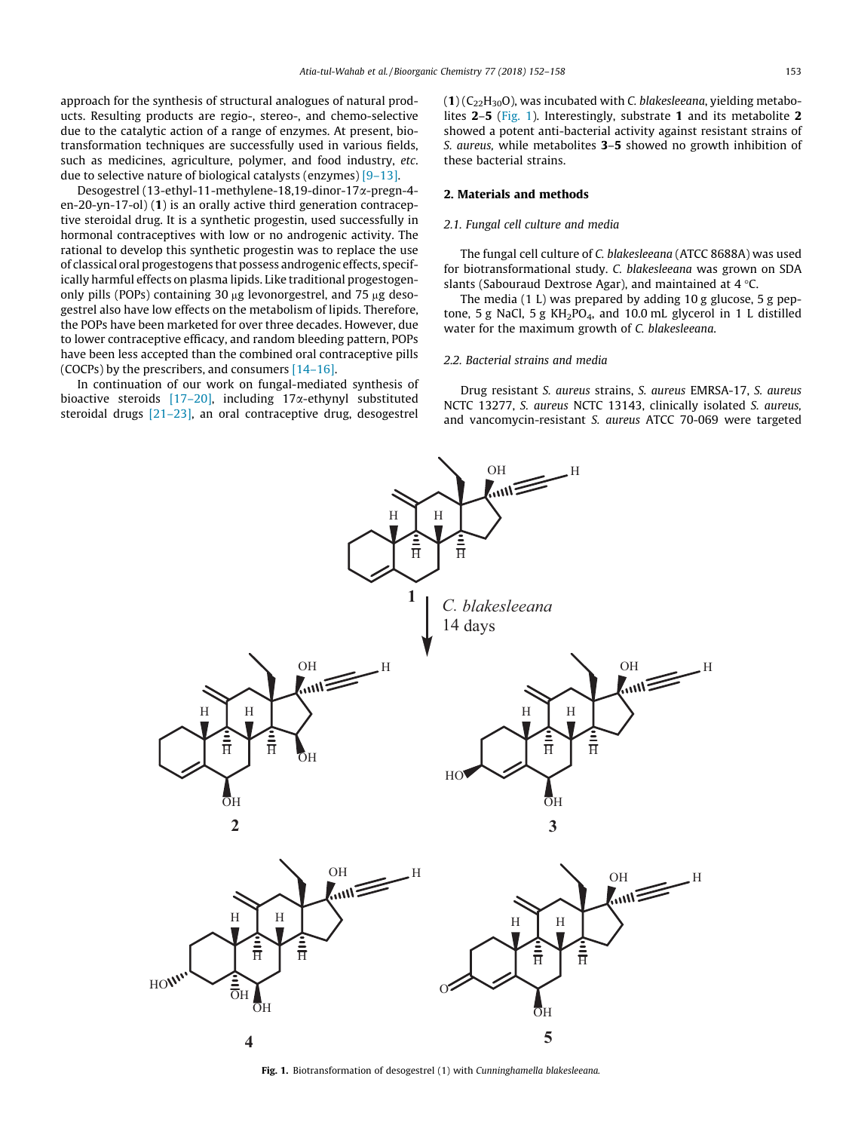approach for the synthesis of structural analogues of natural products. Resulting products are regio-, stereo-, and chemo-selective due to the catalytic action of a range of enzymes. At present, biotransformation techniques are successfully used in various fields, such as medicines, agriculture, polymer, and food industry, etc. due to selective nature of biological catalysts (enzymes) [\[9–13\]](#page-6-0).

Desogestrel (13-ethyl-11-methylene-18,19-dinor-17a-pregn-4 en-20-yn-17-ol) (1) is an orally active third generation contraceptive steroidal drug. It is a synthetic progestin, used successfully in hormonal contraceptives with low or no androgenic activity. The rational to develop this synthetic progestin was to replace the use of classical oral progestogens that possess androgenic effects, specifically harmful effects on plasma lipids. Like traditional progestogenonly pills (POPs) containing 30  $\mu$ g levonorgestrel, and 75  $\mu$ g desogestrel also have low effects on the metabolism of lipids. Therefore, the POPs have been marketed for over three decades. However, due to lower contraceptive efficacy, and random bleeding pattern, POPs have been less accepted than the combined oral contraceptive pills (COCPs) by the prescribers, and consumers [\[14–16\].](#page-6-0)

In continuation of our work on fungal-mediated synthesis of bioactive steroids  $[17–20]$ , including  $17\alpha$ -ethynyl substituted steroidal drugs [\[21–23\]](#page-6-0), an oral contraceptive drug, desogestrel

 $(1)$  (C<sub>22</sub>H<sub>30</sub>O), was incubated with C. blakesleeana, yielding metabolites 2–5 (Fig. 1). Interestingly, substrate 1 and its metabolite 2 showed a potent anti-bacterial activity against resistant strains of S. aureus, while metabolites 3–5 showed no growth inhibition of these bacterial strains.

### 2. Materials and methods

#### 2.1. Fungal cell culture and media

The fungal cell culture of C. blakesleeana (ATCC 8688A) was used for biotransformational study. C. blakesleeana was grown on SDA slants (Sabouraud Dextrose Agar), and maintained at  $4^{\circ}$ C.

The media (1 L) was prepared by adding 10 g glucose, 5 g peptone, 5 g NaCl, 5 g  $KH_2PO_4$ , and 10.0 mL glycerol in 1 L distilled water for the maximum growth of C. blakesleeana.

## 2.2. Bacterial strains and media

Drug resistant S. aureus strains, S. aureus EMRSA-17, S. aureus NCTC 13277, S. aureus NCTC 13143, clinically isolated S. aureus, and vancomycin-resistant S. aureus ATCC 70-069 were targeted



Fig. 1. Biotransformation of desogestrel (1) with Cunninghamella blakesleeana.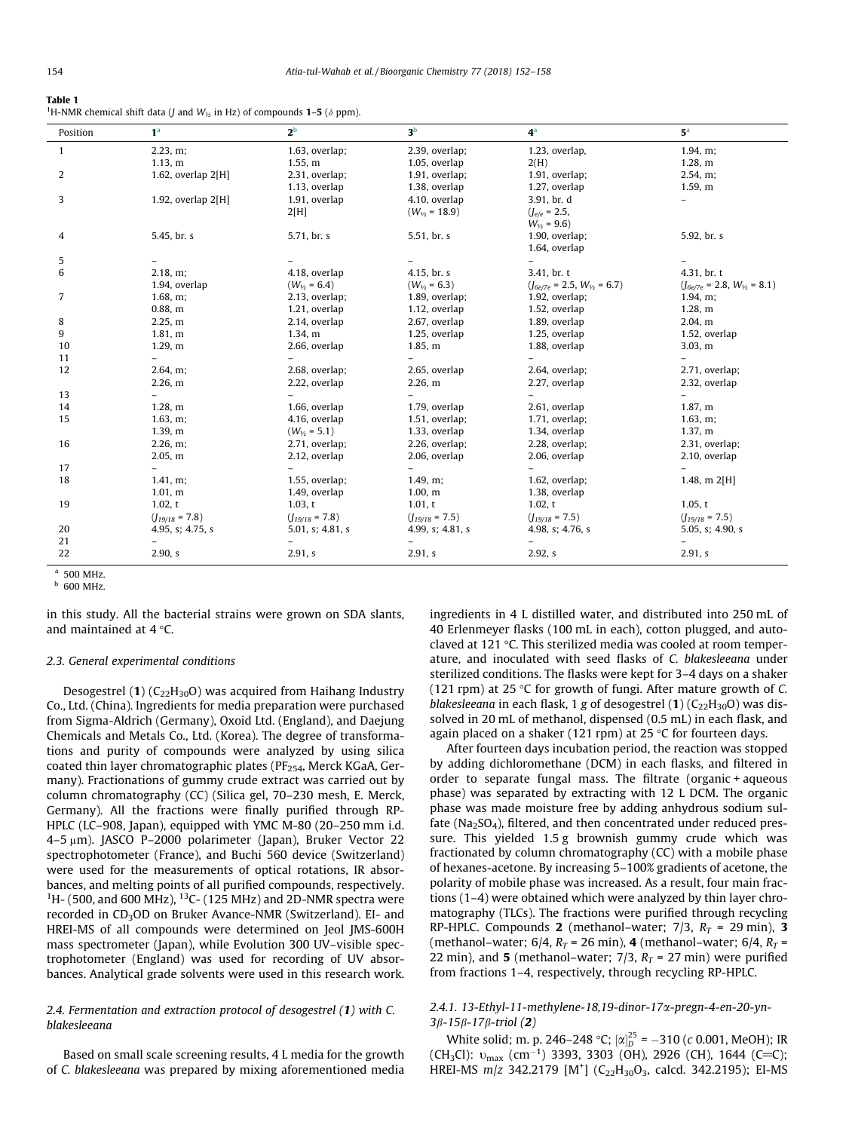<span id="page-2-0"></span>

| ٠ |  |
|---|--|
|---|--|

<sup>1</sup>H-NMR chemical shift data (*J* and  $W_{1/2}$  in Hz) of compounds **1–5** ( $\delta$  ppm).

| Position | 1 <sup>a</sup>       | $2^{\rm b}$         | 3 <sup>b</sup>      | 4 <sup>a</sup>                     | 5 <sup>a</sup>                     |
|----------|----------------------|---------------------|---------------------|------------------------------------|------------------------------------|
| 1        | $2.23$ , m;          | 1.63, overlap;      | 2.39, overlap;      | 1.23, overlap,                     | $1.94$ , m;                        |
|          | 1.13, m              | 1.55, m             | 1.05, overlap       | 2(H)                               | 1.28, m                            |
| 2        | 1.62, overlap $2[H]$ | 2.31, overlap;      | 1.91, overlap;      | 1.91, overlap;                     | 2.54, m;                           |
|          |                      | 1.13, overlap       | 1.38, overlap       | 1.27, overlap                      | 1.59, m                            |
| 3        | 1.92, overlap $2[H]$ | 1.91, overlap       | 4.10, overlap       | 3.91, br. d                        |                                    |
|          |                      | 2[H]                | $(W_{15} = 18.9)$   | $(I_{e/e} = 2.5,$                  |                                    |
|          |                      |                     |                     | $W_{16} = 9.6$                     |                                    |
| 4        | 5.45, br. s          | 5.71, br. s         | 5.51, br. s         | 1.90, overlap;                     | 5.92, br. s                        |
|          |                      |                     |                     | 1.64, overlap                      |                                    |
| 5        |                      |                     |                     |                                    |                                    |
| 6        | 2.18, m;             | 4.18, overlap       | 4.15, br. s         | 3.41, br. t                        | 4.31, br. t                        |
|          | 1.94, overlap        | $(W_{1/2} = 6.4)$   | $(W_{16} = 6.3)$    | $(J_{6e/7e} = 2.5, W_{1/2} = 6.7)$ | $(J_{6e/7e} = 2.8, W_{1/2} = 8.1)$ |
| 7        | 1.68, m;             | 2.13, overlap;      | 1.89, overlap;      | 1.92, overlap;                     | 1.94, m;                           |
|          | $0.88$ , m           | 1.21, overlap       | 1.12, overlap       | 1.52, overlap                      | 1.28, m                            |
| 8        | 2.25, m              | 2.14, overlap       | 2.67, overlap       | 1.89, overlap                      | 2.04, m                            |
| 9        | 1.81, m              | 1.34, m             | 1.25, overlap       | 1.25, overlap                      | 1.52, overlap                      |
| 10       | $1.29$ , m           | 2.66, overlap       | 1.85, m             | 1.88, overlap                      | 3.03, m                            |
| 11       |                      |                     |                     |                                    |                                    |
| 12       | $2.64$ , m;          | 2.68, overlap;      | 2.65, overlap       | 2.64, overlap;                     | 2.71, overlap;                     |
|          | 2.26, m              | 2.22, overlap       | 2.26, m             | 2.27, overlap                      | 2.32, overlap                      |
| 13       |                      |                     |                     |                                    | Ξ.                                 |
| 14       | 1.28, m              | 1.66, overlap       | 1.79, overlap       | 2.61, overlap                      | 1.87, m                            |
| 15       | $1.63$ , m;          | 4.16, overlap       | 1.51, overlap;      | 1.71, overlap;                     | $1.63$ , m;                        |
|          | 1.39, m              | $(W_{16} = 5.1)$    | 1.33, overlap       | 1.34, overlap                      | 1.37, m                            |
| 16       | 2.26, m              | 2.71, overlap;      | 2.26, overlap;      | 2.28, overlap;                     | 2.31, overlap;                     |
|          | 2.05, m              | 2.12, overlap       | 2.06, overlap       | 2.06, overlap                      | 2.10, overlap                      |
| 17       |                      |                     | $\overline{a}$      | $\overline{a}$                     |                                    |
| 18       | 1.41, m              | 1.55, overlap;      | $1.49$ , m;         | $1.62$ , overlap;                  | 1.48, m $2[H]$                     |
|          | 1.01, m              | 1.49, overlap       | 1.00, m             | 1.38, overlap                      |                                    |
| 19       | 1.02, t              | 1.03, t             | 1.01, t             | 1.02, t                            | 1.05, t                            |
|          | $(I_{19/18} = 7.8)$  | $(J_{19/18} = 7.8)$ | $(I_{19/18} = 7.5)$ | $(I_{19/18} = 7.5)$                | $(I_{19/18} = 7.5)$                |
| 20       | 4.95, s; 4.75, s     | 5.01, s; $4.81$ , s | 4.99, s; 4.81, s    | 4.98, s; 4.76, s                   | 5.05, s; 4.90, s                   |
| 21       |                      |                     |                     |                                    |                                    |
| 22       | 2.90, s              | 2.91, s             | 2.91. s             | 2.92, s                            | 2.91. s                            |

<sup>a</sup> 500 MHz. <sup>b</sup> 600 MHz.

in this study. All the bacterial strains were grown on SDA slants, and maintained at  $4^{\circ}$ C.

#### 2.3. General experimental conditions

Desogestrel (1)  $(C_{22}H_{30}O)$  was acquired from Haihang Industry Co., Ltd. (China). Ingredients for media preparation were purchased from Sigma-Aldrich (Germany), Oxoid Ltd. (England), and Daejung Chemicals and Metals Co., Ltd. (Korea). The degree of transformations and purity of compounds were analyzed by using silica coated thin layer chromatographic plates ( $PF_{254}$ , Merck KGaA, Germany). Fractionations of gummy crude extract was carried out by column chromatography (CC) (Silica gel, 70–230 mesh, E. Merck, Germany). All the fractions were finally purified through RP-HPLC (LC–908, Japan), equipped with YMC M-80 (20–250 mm i.d. 4–5 µm). JASCO P–2000 polarimeter (Japan), Bruker Vector 22 spectrophotometer (France), and Buchi 560 device (Switzerland) were used for the measurements of optical rotations, IR absorbances, and melting points of all purified compounds, respectively.  $\rm ^1H$ - (500, and 600 MHz),  $\rm ^{13}C$ - (125 MHz) and 2D-NMR spectra were recorded in CD<sub>3</sub>OD on Bruker Avance-NMR (Switzerland). EI- and HREI-MS of all compounds were determined on Jeol JMS-600H mass spectrometer (Japan), while Evolution 300 UV–visible spectrophotometer (England) was used for recording of UV absorbances. Analytical grade solvents were used in this research work.

# 2.4. Fermentation and extraction protocol of desogestrel (1) with C. blakesleeana

Based on small scale screening results, 4 L media for the growth of C. blakesleeana was prepared by mixing aforementioned media ingredients in 4 L distilled water, and distributed into 250 mL of 40 Erlenmeyer flasks (100 mL in each), cotton plugged, and autoclaved at 121  $\degree$ C. This sterilized media was cooled at room temperature, and inoculated with seed flasks of C. blakesleeana under sterilized conditions. The flasks were kept for 3–4 days on a shaker (121 rpm) at 25 °C for growth of fungi. After mature growth of C. blakesleeana in each flask, 1 g of desogestrel  $(1)$  (C<sub>22</sub>H<sub>30</sub>O) was dissolved in 20 mL of methanol, dispensed (0.5 mL) in each flask, and again placed on a shaker (121 rpm) at 25  $\degree$ C for fourteen days.

After fourteen days incubation period, the reaction was stopped by adding dichloromethane (DCM) in each flasks, and filtered in order to separate fungal mass. The filtrate (organic + aqueous phase) was separated by extracting with 12 L DCM. The organic phase was made moisture free by adding anhydrous sodium sulfate (Na<sub>2</sub>SO<sub>4</sub>), filtered, and then concentrated under reduced pressure. This yielded 1.5 g brownish gummy crude which was fractionated by column chromatography (CC) with a mobile phase of hexanes-acetone. By increasing 5–100% gradients of acetone, the polarity of mobile phase was increased. As a result, four main fractions (1–4) were obtained which were analyzed by thin layer chromatography (TLCs). The fractions were purified through recycling RP-HPLC. Compounds 2 (methanol–water; 7/3,  $R_T$  = 29 min), 3 (methanol–water; 6/4,  $R_T$  = 26 min), **4** (methanol–water; 6/4,  $R_T$  = 22 min), and 5 (methanol–water; 7/3,  $R_T$  = 27 min) were purified from fractions 1–4, respectively, through recycling RP-HPLC.

# 2.4.1. 13-Ethyl-11-methylene-18,19-dinor-17a-pregn-4-en-20-yn- $3\beta - 15\beta - 17\beta$ -triol (2)

White solid; m. p. 246–248 °C;  $[\alpha]_D^{25} = -310$  (c 0.001, MeOH); IR (CH<sub>3</sub>Cl):  $v_{\text{max}}$  (cm<sup>-1</sup>) 3393, 3303 (OH), 2926 (CH), 1644 (C=C); HREI-MS  $m/z$  342.2179 [M<sup>+</sup>] (C<sub>22</sub>H<sub>30</sub>O<sub>3</sub>, calcd. 342.2195); EI-MS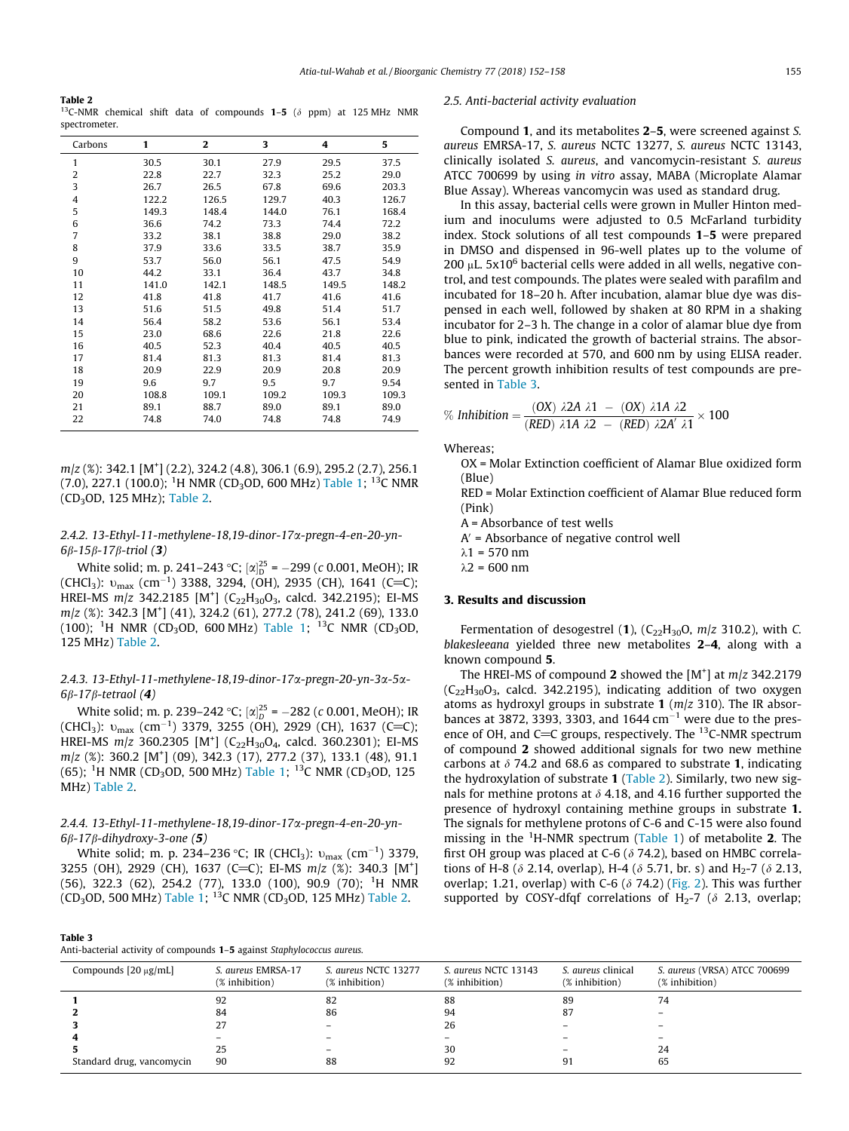<span id="page-3-0"></span>Table 2 <sup>13</sup>C-NMR chemical shift data of compounds **1–5** ( $\delta$  ppm) at 125 MHz NMR spectrometer.

| Carbons      | 1     | 2     | 3     | 4     | 5     |
|--------------|-------|-------|-------|-------|-------|
| $\mathbf{1}$ | 30.5  | 30.1  | 27.9  | 29.5  | 37.5  |
| 2            | 22.8  | 22.7  | 32.3  | 25.2  | 29.0  |
| 3            | 26.7  | 26.5  | 67.8  | 69.6  | 203.3 |
| 4            | 122.2 | 126.5 | 129.7 | 40.3  | 126.7 |
| 5            | 149.3 | 148.4 | 144.0 | 76.1  | 168.4 |
| 6            | 36.6  | 74.2  | 73.3  | 74.4  | 72.2  |
| 7            | 33.2  | 38.1  | 38.8  | 29.0  | 38.2  |
| 8            | 37.9  | 33.6  | 33.5  | 38.7  | 35.9  |
| 9            | 53.7  | 56.0  | 56.1  | 47.5  | 54.9  |
| 10           | 44.2  | 33.1  | 36.4  | 43.7  | 34.8  |
| 11           | 141.0 | 142.1 | 148.5 | 149.5 | 148.2 |
| 12           | 41.8  | 41.8  | 41.7  | 41.6  | 41.6  |
| 13           | 51.6  | 51.5  | 49.8  | 51.4  | 51.7  |
| 14           | 56.4  | 58.2  | 53.6  | 56.1  | 53.4  |
| 15           | 23.0  | 68.6  | 22.6  | 21.8  | 22.6  |
| 16           | 40.5  | 52.3  | 40.4  | 40.5  | 40.5  |
| 17           | 81.4  | 81.3  | 81.3  | 81.4  | 81.3  |
| 18           | 20.9  | 22.9  | 20.9  | 20.8  | 20.9  |
| 19           | 9.6   | 9.7   | 9.5   | 9.7   | 9.54  |
| 20           | 108.8 | 109.1 | 109.2 | 109.3 | 109.3 |
| 21           | 89.1  | 88.7  | 89.0  | 89.1  | 89.0  |
| 22           | 74.8  | 74.0  | 74.8  | 74.8  | 74.9  |

m/z (%): 342.1 [M<sup>+</sup>] (2.2), 324.2 (4.8), 306.1 (6.9), 295.2 (2.7), 256.1 (7.0), 227.1 (100.0); <sup>1</sup>H NMR (CD<sub>3</sub>OD, 600 MHz) [Table 1;](#page-2-0) <sup>13</sup>C NMR (CD3OD, 125 MHz); Table 2.

# 2.4.2. 13-Ethyl-11-methylene-18,19-dinor-17a-pregn-4-en-20-yn- $6\beta - 15\beta - 17\beta$ -triol (3)

White solid; m. p. 241–243 °C;  $[\alpha]_D^{25} = -299$  (c 0.001, MeOH); IR (CHCl<sub>3</sub>):  $v_{\text{max}}$  (cm<sup>-1</sup>) 3388, 3294, (OH), 2935 (CH), 1641 (C=C); HREI-MS  $m/z$  342.2185 [M<sup>+</sup>] (C<sub>22</sub>H<sub>30</sub>O<sub>3</sub>, calcd. 342.2195); EI-MS m/z (%): 342.3 [M<sup>+</sup>] (41), 324.2 (61), 277.2 (78), 241.2 (69), 133.0 (100); <sup>1</sup>H NMR (CD<sub>3</sub>OD, 600 MHz) [Table 1](#page-2-0); <sup>13</sup>C NMR (CD<sub>3</sub>OD, 125 MHz) Table 2.

# 2.4.3. 13-Ethyl-11-methylene-18,19-dinor-17a-pregn-20-yn-3a-5a- $6\beta - 17\beta$ -tetraol (4)

White solid; m. p. 239–242 °C;  $[\alpha]_D^{25} = -282$  (c 0.001, MeOH); IR (CHCl<sub>3</sub>):  $v_{\text{max}}$  (cm<sup>-1</sup>) 3379, 3255 (OH), 2929 (CH), 1637 (C=C); HREI-MS  $m/z$  360.2305 [M<sup>+</sup>] (C<sub>22</sub>H<sub>30</sub>O<sub>4</sub>, calcd. 360.2301); EI-MS m/z (%): 360.2 [M<sup>+</sup>] (09), 342.3 (17), 277.2 (37), 133.1 (48), 91.1 (65); <sup>1</sup>H NMR (CD<sub>3</sub>OD, 500 MHz) [Table 1;](#page-2-0) <sup>13</sup>C NMR (CD<sub>3</sub>OD, 125 MHz) Table 2.

# 2.4.4. 13-Ethyl-11-methylene-18,19-dinor-17a-pregn-4-en-20-yn- $6\beta - 17\beta$ -dihydroxy-3-one (5)

White solid; m. p. 234–236 °C; IR (CHCl<sub>3</sub>):  $v_{\rm max}$  (cm<sup>-1</sup>) 3379, 3255 (OH), 2929 (CH), 1637 (C=C); EI-MS m/z (%): 340.3 [M<sup>+</sup>] (56), 322.3 (62), 254.2 (77), 133.0 (100), 90.9 (70); <sup>1</sup> H NMR (CD<sub>3</sub>OD, 500 MHz) [Table 1;](#page-2-0) <sup>13</sup>C NMR (CD<sub>3</sub>OD, 125 MHz) Table 2.

| таріє э                                                                 |  |
|-------------------------------------------------------------------------|--|
| Anti-bacterial activity of compounds 1-5 against Staphylococcus aureus. |  |

Table 3

#### 2.5. Anti-bacterial activity evaluation

Compound 1, and its metabolites 2–5, were screened against S. aureus EMRSA-17, S. aureus NCTC 13277, S. aureus NCTC 13143, clinically isolated S. aureus, and vancomycin-resistant S. aureus ATCC 700699 by using in vitro assay, MABA (Microplate Alamar Blue Assay). Whereas vancomycin was used as standard drug.

In this assay, bacterial cells were grown in Muller Hinton medium and inoculums were adjusted to 0.5 McFarland turbidity index. Stock solutions of all test compounds 1–5 were prepared in DMSO and dispensed in 96-well plates up to the volume of 200  $\mu$ L. 5x10<sup>6</sup> bacterial cells were added in all wells, negative control, and test compounds. The plates were sealed with parafilm and incubated for 18–20 h. After incubation, alamar blue dye was dispensed in each well, followed by shaken at 80 RPM in a shaking incubator for 2–3 h. The change in a color of alamar blue dye from blue to pink, indicated the growth of bacterial strains. The absorbances were recorded at 570, and 600 nm by using ELISA reader. The percent growth inhibition results of test compounds are presented in Table 3.

% Inhibition = 
$$
\frac{(OX) \ \lambda 2A \ \lambda 1 - (OX) \ \lambda 1A \ \lambda 2}{(RED) \ \lambda 1A \ \lambda 2 - (RED) \ \lambda 2A' \ \lambda 1} \times 100
$$

Whereas;

OX = Molar Extinction coefficient of Alamar Blue oxidized form (Blue)

RED = Molar Extinction coefficient of Alamar Blue reduced form (Pink)

A = Absorbance of test wells

 $A'$  = Absorbance of negative control well

 $\lambda$ 1 = 570 nm

 $\lambda$ 2 = 600 nm

# 3. Results and discussion

Fermentation of desogestrel (1),  $(C_{22}H_{30}O, m/z$  310.2), with C. blakesleeana yielded three new metabolites 2–4, along with a known compound 5.

The HREI-MS of compound 2 showed the  $[M^+]$  at  $m/z$  342.2179  $(C_{22}H_{30}O_3,$  calcd. 342.2195), indicating addition of two oxygen atoms as hydroxyl groups in substrate 1 ( $m/z$  310). The IR absorbances at 3872, 3393, 3303, and  $1644$  cm<sup>-1</sup> were due to the presence of OH, and C=C groups, respectively. The  $^{13}$ C-NMR spectrum of compound 2 showed additional signals for two new methine carbons at  $\delta$  74.2 and 68.6 as compared to substrate 1, indicating the hydroxylation of substrate 1 (Table 2). Similarly, two new signals for methine protons at  $\delta$  4.18, and 4.16 further supported the presence of hydroxyl containing methine groups in substrate 1. The signals for methylene protons of C-6 and C-15 were also found missing in the <sup>1</sup>H-NMR spectrum [\(Table 1\)](#page-2-0) of metabolite 2. The first OH group was placed at C-6 ( $\delta$  74.2), based on HMBC correlations of H-8 ( $\delta$  2.14, overlap), H-4 ( $\delta$  5.71, br. s) and H<sub>2</sub>-7 ( $\delta$  2.13, overlap; 1.21, overlap) with C-6 ( $\delta$  74.2) [\(Fig. 2](#page-4-0)). This was further supported by COSY-dfqf correlations of H<sub>2</sub>-7 ( $\delta$  2.13, overlap;

| Compounds $[20 \mu g/mL]$ | S. aureus EMRSA-17<br>(% inhibition) | S. aureus NCTC 13277<br>(% inhibition) | S. aureus NCTC 13143<br>(% inhibition) | S. <i>aureus</i> clinical<br>(% inhibition) | S. aureus (VRSA) ATCC 700699<br>(% inhibition) |
|---------------------------|--------------------------------------|----------------------------------------|----------------------------------------|---------------------------------------------|------------------------------------------------|
|                           | 92                                   | 82                                     | 88                                     | 89                                          | 74                                             |
|                           | 84                                   | 86                                     | 94                                     | 87                                          |                                                |
|                           | 27                                   |                                        | 26                                     |                                             |                                                |
|                           |                                      |                                        |                                        |                                             |                                                |
|                           | 25                                   |                                        | 30                                     |                                             | 24                                             |
| Standard drug, vancomycin | 90                                   | 88                                     | 92                                     |                                             | 65                                             |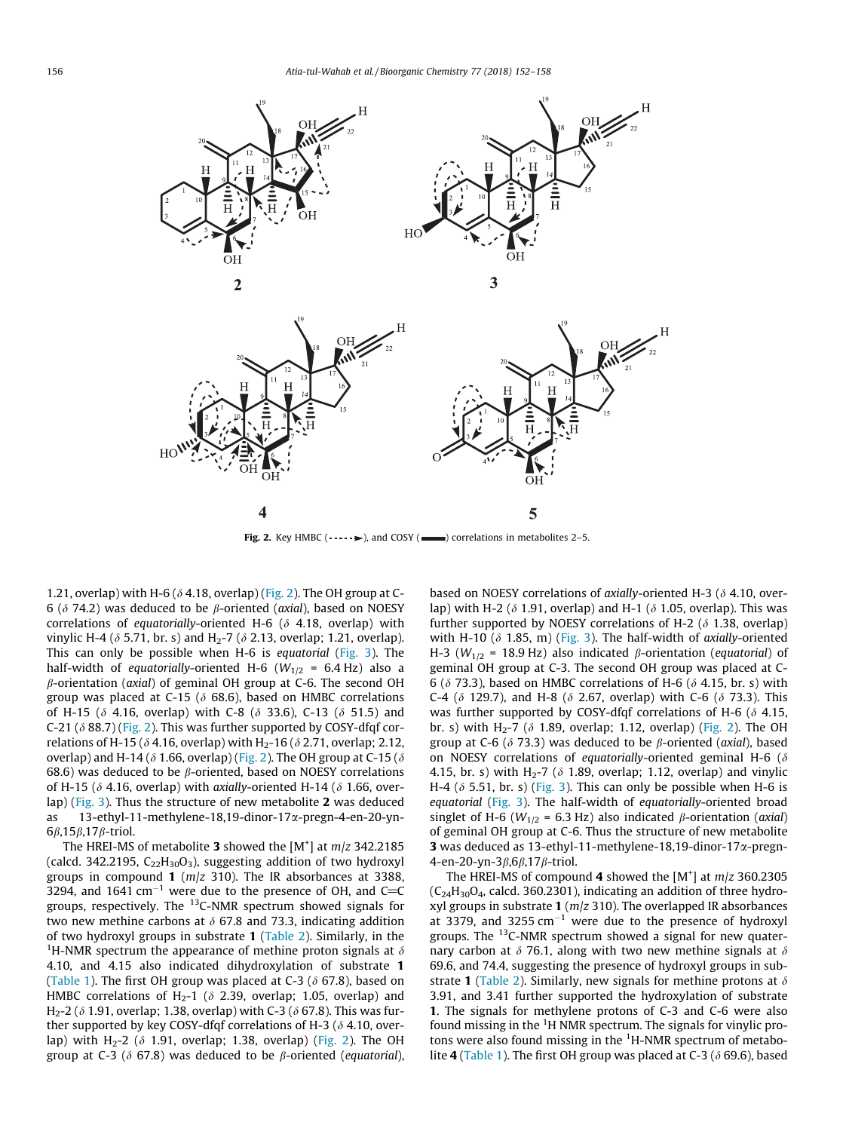<span id="page-4-0"></span>

Fig. 2. Key HMBC  $(\cdots)$ , and COSY ( $\equiv$ ) correlations in metabolites 2–5.

1.21, overlap) with H-6 ( $\delta$  4.18, overlap) (Fig. 2). The OH group at C-6 ( $\delta$  74.2) was deduced to be  $\beta$ -oriented (axial), based on NOESY correlations of equatorially-oriented H-6 ( $\delta$  4.18, overlap) with vinylic H-4 ( $\delta$  5.71, br. s) and H<sub>2</sub>-7 ( $\delta$  2.13, overlap; 1.21, overlap). This can only be possible when H-6 is equatorial [\(Fig. 3\)](#page-5-0). The half-width of equatorially-oriented H-6 ( $W_{1/2}$  = 6.4 Hz) also a  $\beta$ -orientation (axial) of geminal OH group at C-6. The second OH group was placed at C-15 ( $\delta$  68.6), based on HMBC correlations of H-15 ( $\delta$  4.16, overlap) with C-8 ( $\delta$  33.6), C-13 ( $\delta$  51.5) and C-21 ( $\delta$  88.7) (Fig. 2). This was further supported by COSY-dfqf correlations of H-15 ( $\delta$  4.16, overlap) with H<sub>2</sub>-16 ( $\delta$  2.71, overlap; 2.12, overlap) and H-14 ( $\delta$  1.66, overlap) (Fig. 2). The OH group at C-15 ( $\delta$ 68.6) was deduced to be  $\beta$ -oriented, based on NOESY correlations of H-15 ( $\delta$  4.16, overlap) with axially-oriented H-14 ( $\delta$  1.66, overlap) [\(Fig. 3\)](#page-5-0). Thus the structure of new metabolite 2 was deduced as 13-ethyl-11-methylene-18,19-dinor-17a-pregn-4-en-20-yn- $6\beta$ ,15 $\beta$ ,17 $\beta$ -triol.

The HREI-MS of metabolite 3 showed the  $[M^+]$  at  $m/z$  342.2185 (calcd. 342.2195,  $C_{22}H_{30}O_3$ ), suggesting addition of two hydroxyl groups in compound 1 ( $m/z$  310). The IR absorbances at 3388, 3294, and 1641 cm<sup>-1</sup> were due to the presence of OH, and C=C groups, respectively. The  $^{13}$ C-NMR spectrum showed signals for two new methine carbons at  $\delta$  67.8 and 73.3, indicating addition of two hydroxyl groups in substrate 1 [\(Table 2](#page-3-0)). Similarly, in the <sup>1</sup>H-NMR spectrum the appearance of methine proton signals at  $\delta$ 4.10, and 4.15 also indicated dihydroxylation of substrate 1 ([Table 1\)](#page-2-0). The first OH group was placed at C-3 ( $\delta$  67.8), based on HMBC correlations of H<sub>2</sub>-1 ( $\delta$  2.39, overlap; 1.05, overlap) and H<sub>2</sub>-2 ( $\delta$  1.91, overlap; 1.38, overlap) with C-3 ( $\delta$  67.8). This was further supported by key COSY-dfqf correlations of H-3 ( $\delta$  4.10, overlap) with H<sub>2</sub>-2 ( $\delta$  1.91, overlap; 1.38, overlap) (Fig. 2). The OH group at C-3 ( $\delta$  67.8) was deduced to be  $\beta$ -oriented (equatorial), based on NOESY correlations of axially-oriented H-3 ( $\delta$  4.10, overlap) with H-2 ( $\delta$  1.91, overlap) and H-1 ( $\delta$  1.05, overlap). This was further supported by NOESY correlations of H-2 ( $\delta$  1.38, overlap) with H-10 ( $\delta$  1.85, m) ([Fig. 3\)](#page-5-0). The half-width of axially-oriented H-3 ( $W_{1/2}$  = 18.9 Hz) also indicated  $\beta$ -orientation (equatorial) of geminal OH group at C-3. The second OH group was placed at C-6 ( $\delta$  73.3), based on HMBC correlations of H-6 ( $\delta$  4.15, br. s) with C-4 ( $\delta$  129.7), and H-8 ( $\delta$  2.67, overlap) with C-6 ( $\delta$  73.3). This was further supported by COSY-dfqf correlations of H-6 ( $\delta$  4.15, br. s) with H<sub>2</sub>-7 ( $\delta$  1.89, overlap; 1.12, overlap) (Fig. 2). The OH group at C-6 ( $\delta$  73.3) was deduced to be  $\beta$ -oriented (axial), based on NOESY correlations of equatorially-oriented geminal H-6 ( $\delta$ 4.15, br. s) with H<sub>2</sub>-7 ( $\delta$  1.89, overlap; 1.12, overlap) and vinylic H-4 ( $\delta$  5.51, br. s) [\(Fig. 3](#page-5-0)). This can only be possible when H-6 is equatorial [\(Fig. 3](#page-5-0)). The half-width of equatorially-oriented broad singlet of H-6 ( $W_{1/2}$  = 6.3 Hz) also indicated  $\beta$ -orientation (axial) of geminal OH group at C-6. Thus the structure of new metabolite 3 was deduced as  $13$ -ethyl-11-methylene-18,19-dinor-17 $\alpha$ -pregn-4-en-20-yn-3 $\beta$ ,6 $\beta$ ,17 $\beta$ -triol.

The HREI-MS of compound 4 showed the  $[M^+]$  at  $m/z$  360.2305  $(C_{24}H_{30}O_4$ , calcd. 360.2301), indicating an addition of three hydroxyl groups in substrate 1 ( $m/z$  310). The overlapped IR absorbances at 3379, and 3255  $cm^{-1}$  were due to the presence of hydroxyl groups. The  $^{13}$ C-NMR spectrum showed a signal for new quaternary carbon at  $\delta$  76.1, along with two new methine signals at  $\delta$ 69.6, and 74.4, suggesting the presence of hydroxyl groups in sub-strate 1 ([Table 2\)](#page-3-0). Similarly, new signals for methine protons at  $\delta$ 3.91, and 3.41 further supported the hydroxylation of substrate 1. The signals for methylene protons of C-3 and C-6 were also found missing in the  ${}^{1}$ H NMR spectrum. The signals for vinylic protons were also found missing in the <sup>1</sup>H-NMR spectrum of metabo-lite 4 ([Table 1\)](#page-2-0). The first OH group was placed at C-3 ( $\delta$  69.6), based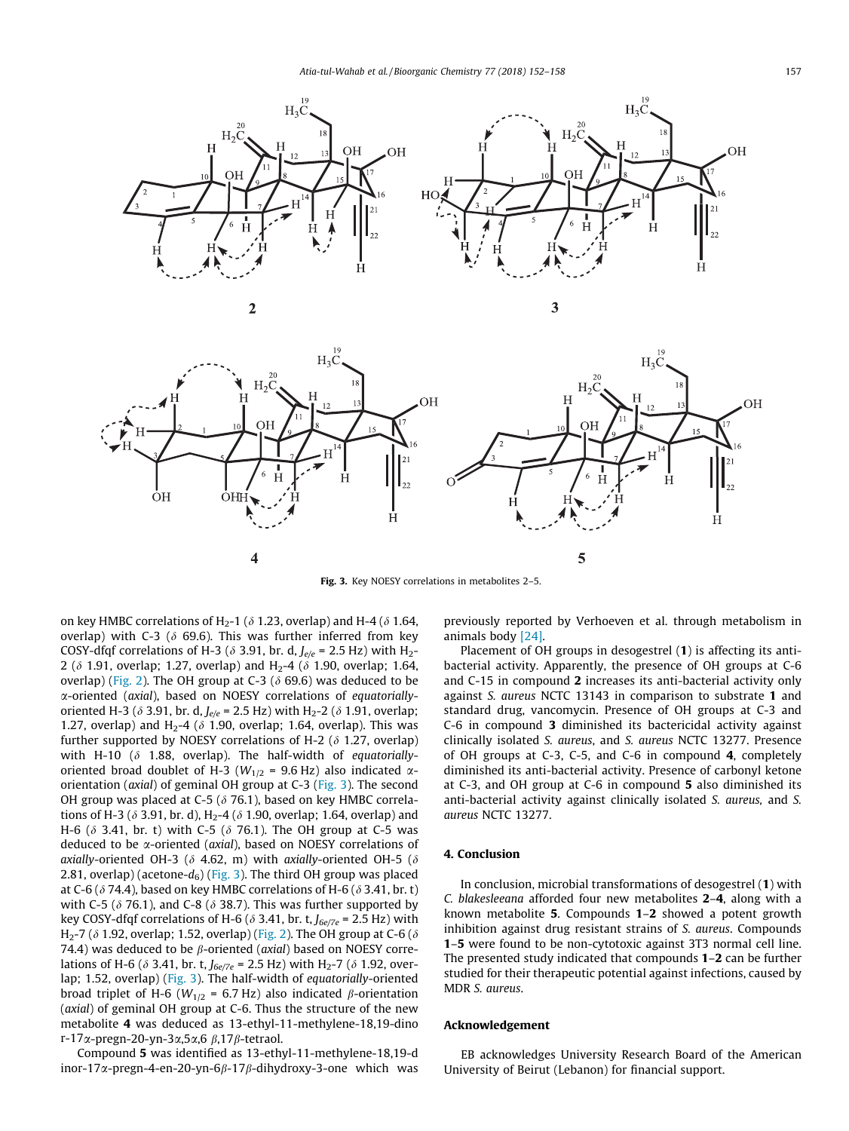<span id="page-5-0"></span>



Fig. 3. Key NOESY correlations in metabolites 2–5.

on key HMBC correlations of H<sub>2</sub>-1 ( $\delta$  1.23, overlap) and H-4 ( $\delta$  1.64, overlap) with C-3 ( $\delta$  69.6). This was further inferred from key COSY-dfqf correlations of H-3 ( $\delta$  3.91, br. d,  $J_{e/e}$  = 2.5 Hz) with H<sub>2</sub>-2 ( $\delta$  1.91, overlap; 1.27, overlap) and H<sub>2</sub>-4 ( $\delta$  1.90, overlap; 1.64, overlap) [\(Fig. 2](#page-4-0)). The OH group at C-3 ( $\delta$  69.6) was deduced to be a-oriented (axial), based on NOESY correlations of equatoriallyoriented H-3 ( $\delta$  3.91, br. d,  $J_{e/e}$  = 2.5 Hz) with H<sub>2</sub>-2 ( $\delta$  1.91, overlap; 1.27, overlap) and H<sub>2</sub>-4 ( $\delta$  1.90, overlap; 1.64, overlap). This was further supported by NOESY correlations of H-2 ( $\delta$  1.27, overlap) with H-10 ( $\delta$  1.88, overlap). The half-width of equatoriallyoriented broad doublet of H-3 ( $W_{1/2}$  = 9.6 Hz) also indicated  $\alpha$ orientation (axial) of geminal OH group at C-3 (Fig. 3). The second OH group was placed at C-5 ( $\delta$  76.1), based on key HMBC correlations of H-3 ( $\delta$  3.91, br. d), H<sub>2</sub>-4 ( $\delta$  1.90, overlap; 1.64, overlap) and H-6 ( $\delta$  3.41, br. t) with C-5 ( $\delta$  76.1). The OH group at C-5 was deduced to be *x*-oriented (*axial*), based on NOESY correlations of axially-oriented OH-3 ( $\delta$  4.62, m) with axially-oriented OH-5 ( $\delta$ 2.81, overlap) (acetone- $d_6$ ) (Fig. 3). The third OH group was placed at C-6 ( $\delta$  74.4), based on key HMBC correlations of H-6 ( $\delta$  3.41, br. t) with C-5 ( $\delta$  76.1), and C-8 ( $\delta$  38.7). This was further supported by key COSY-dfqf correlations of H-6 ( $\delta$  3.41, br. t,  $J_{\frac{6e}{7e}}$  = 2.5 Hz) with H<sub>2</sub>-7 ( $\delta$  1.92, overlap; 1.52, overlap) [\(Fig. 2\)](#page-4-0). The OH group at C-6 ( $\delta$ 74.4) was deduced to be  $\beta$ -oriented (axial) based on NOESY correlations of H-6 ( $\delta$  3.41, br. t,  $J_{6e/7e}$  = 2.5 Hz) with H<sub>2</sub>-7 ( $\delta$  1.92, overlap; 1.52, overlap) (Fig. 3). The half-width of equatorially-oriented broad triplet of H-6 ( $W_{1/2}$  = 6.7 Hz) also indicated  $\beta$ -orientation (axial) of geminal OH group at C-6. Thus the structure of the new metabolite 4 was deduced as 13-ethyl-11-methylene-18,19-dino r-17 $\alpha$ -pregn-20-yn-3 $\alpha$ ,5 $\alpha$ ,6  $\beta$ ,17 $\beta$ -tetraol.

Compound 5 was identified as 13-ethyl-11-methylene-18,19-d inor-17 $\alpha$ -pregn-4-en-20-yn-6 $\beta$ -17 $\beta$ -dihydroxy-3-one which was previously reported by Verhoeven et al. through metabolism in animals body [\[24\].](#page-6-0)

Placement of OH groups in desogestrel (1) is affecting its antibacterial activity. Apparently, the presence of OH groups at C-6 and C-15 in compound 2 increases its anti-bacterial activity only against S. aureus NCTC 13143 in comparison to substrate 1 and standard drug, vancomycin. Presence of OH groups at C-3 and C-6 in compound 3 diminished its bactericidal activity against clinically isolated S. aureus, and S. aureus NCTC 13277. Presence of OH groups at C-3, C-5, and C-6 in compound 4, completely diminished its anti-bacterial activity. Presence of carbonyl ketone at C-3, and OH group at C-6 in compound 5 also diminished its anti-bacterial activity against clinically isolated S. aureus, and S. aureus NCTC 13277.

### 4. Conclusion

In conclusion, microbial transformations of desogestrel (1) with C. blakesleeana afforded four new metabolites 2–4, along with a known metabolite 5. Compounds 1–2 showed a potent growth inhibition against drug resistant strains of S. aureus. Compounds 1–5 were found to be non-cytotoxic against 3T3 normal cell line. The presented study indicated that compounds 1–2 can be further studied for their therapeutic potential against infections, caused by MDR S. aureus.

## Acknowledgement

EB acknowledges University Research Board of the American University of Beirut (Lebanon) for financial support.